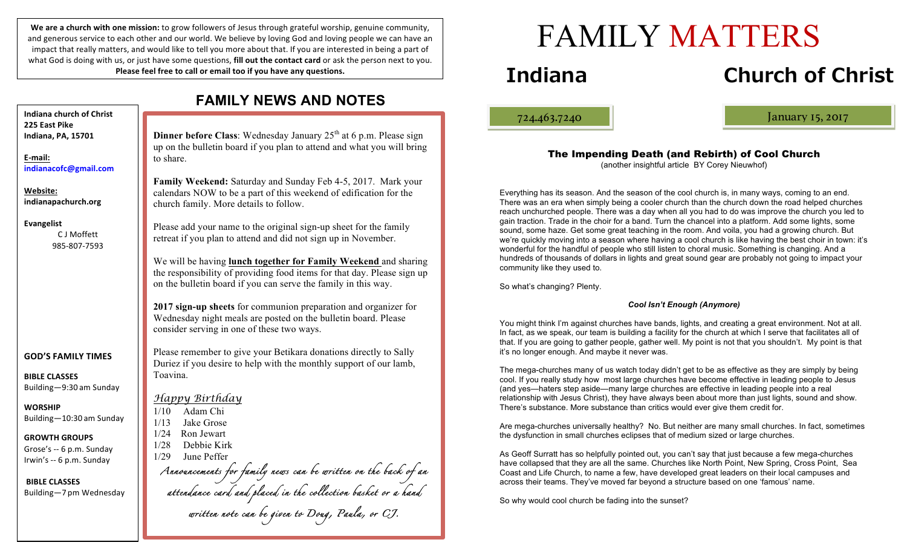We are a church with one mission: to grow followers of Jesus through grateful worship, genuine community, and generous service to each other and our world. We believe by loving God and loving people we can have an impact that really matters, and would like to tell you more about that. If you are interested in being a part of what God is doing with us, or just have some questions, **fill out the contact card** or ask the person next to you. **Please feel free to call or email too if you have any questions.** 

**Dinner before Class**: Wednesday January 25<sup>th</sup> at 6 p.m. Please sign to share. church family. More details to follow. consider serving in one of these two ways. Toavina. *Happy Birthday* 1/10 Adam Chi 1/13 Jake Grose 1/24 Ron Jewart 1/28 Debbie Kirk 1/29 June Peffer *Announcements for family news can be written on the back of an attendance card and placed in the collection basket or a hand written note can be given to Doug, Paula, or CJ.* **Indiana church of Christ 225 East Pike Indiana, PA, 15701 E-mail: indianacofc@gmail.com Website: indianapachurch.org Evangelist** C J Moffett 985-807-7593 **GOD'S FAMILY TIMES BIBLE CLASSES** Building—9:30 am Sunday **WORSHIP** Building—10:30 am Sunday **GROWTH GROUPS** Grose's -- 6 p.m. Sunday Irwin's -- 6 p.m. Sunday **BIBLE CLASSES** Building—7 pm Wednesday

# **FAMILY NEWS AND NOTES**

up on the bulletin board if you plan to attend and what you will bring

**Family Weekend:** Saturday and Sunday Feb 4-5, 2017. Mark your calendars NOW to be a part of this weekend of edification for the

Please add your name to the original sign-up sheet for the family retreat if you plan to attend and did not sign up in November.

We will be having **lunch together for Family Weekend** and sharing the responsibility of providing food items for that day. Please sign up on the bulletin board if you can serve the family in this way.

**2017 sign-up sheets** for communion preparation and organizer for Wednesday night meals are posted on the bulletin board. Please

Please remember to give your Betikara donations directly to Sally Duriez if you desire to help with the monthly support of our lamb, FAMILY MATTERS

# **Indiana Church of Christ**

ļ

724.463.7240 January 15, 2017

The Impending Death (and Rebirth) of Cool Church (another insightful article BY Corey Nieuwhof)

Everything has its season. And the season of the cool church is, in many ways, coming to an end. There was an era when simply being a cooler church than the church down the road helped churches reach unchurched people. There was a day when all you had to do was improve the church you led to gain traction. Trade in the choir for a band. Turn the chancel into a platform. Add some lights, some sound, some haze. Get some great teaching in the room. And voila, you had a growing church. But we're quickly moving into a season where having a cool church is like having the best choir in town: it's wonderful for the handful of people who still listen to choral music. Something is changing. And a hundreds of thousands of dollars in lights and great sound gear are probably not going to impact your community like they used to.

So what's changing? Plenty.

### *Cool Isn't Enough (Anymore)*

You might think I'm against churches have bands, lights, and creating a great environment. Not at all. In fact, as we speak, our team is building a facility for the church at which I serve that facilitates all of that. If you are going to gather people, gather well. My point is not that you shouldn't. My point is that it's no longer enough. And maybe it never was.

The mega-churches many of us watch today didn't get to be as effective as they are simply by being cool. If you really study how most large churches have become effective in leading people to Jesus (and yes—haters step aside—many large churches are effective in leading people into a real relationship with Jesus Christ), they have always been about more than just lights, sound and show. There's substance. More substance than critics would ever give them credit for.

Are mega-churches universally healthy? No. But neither are many small churches. In fact, sometimes the dysfunction in small churches eclipses that of medium sized or large churches.

As Geoff Surratt has so helpfully pointed out, you can't say that just because a few mega-churches have collapsed that they are all the same. Churches like North Point, New Spring, Cross Point, Sea Coast and Life Church, to name a few, have developed great leaders on their local campuses and across their teams. They've moved far beyond a structure based on one 'famous' name.

So why would cool church be fading into the sunset?